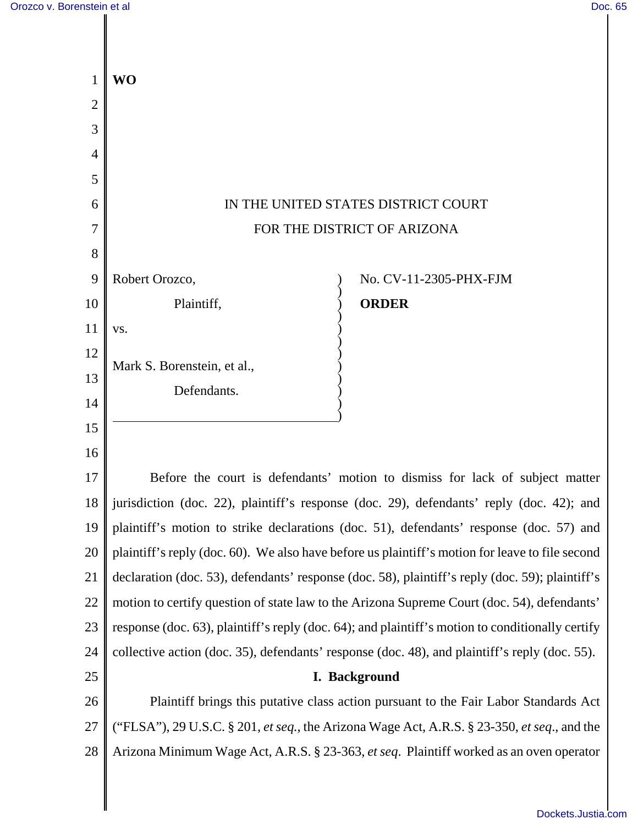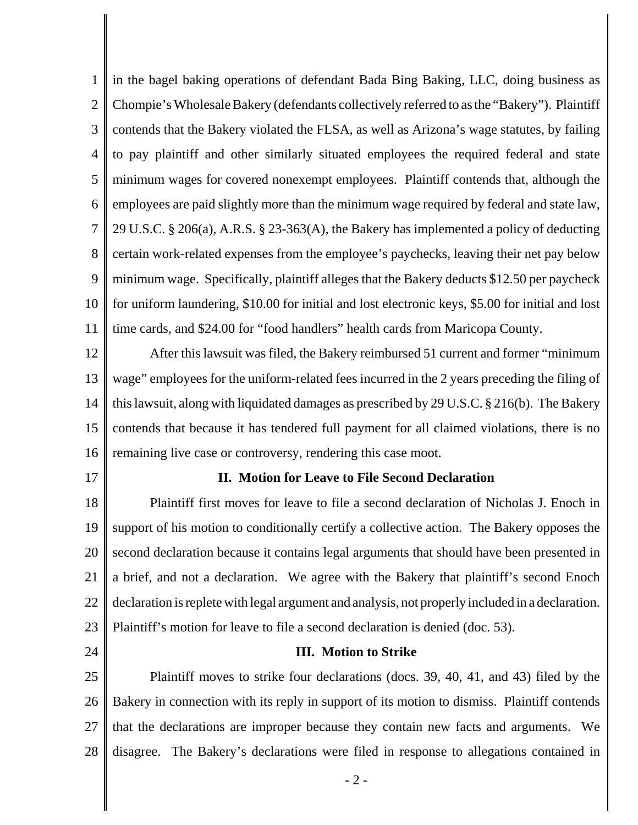1 2 3 4 5 6 7 8 9 10 11 in the bagel baking operations of defendant Bada Bing Baking, LLC, doing business as Chompie's Wholesale Bakery (defendants collectively referred to as the "Bakery"). Plaintiff contends that the Bakery violated the FLSA, as well as Arizona's wage statutes, by failing to pay plaintiff and other similarly situated employees the required federal and state minimum wages for covered nonexempt employees. Plaintiff contends that, although the employees are paid slightly more than the minimum wage required by federal and state law, 29 U.S.C. § 206(a), A.R.S. § 23-363(A), the Bakery has implemented a policy of deducting certain work-related expenses from the employee's paychecks, leaving their net pay below minimum wage. Specifically, plaintiff alleges that the Bakery deducts \$12.50 per paycheck for uniform laundering, \$10.00 for initial and lost electronic keys, \$5.00 for initial and lost time cards, and \$24.00 for "food handlers" health cards from Maricopa County.

12 13 14 15 16 After this lawsuit was filed, the Bakery reimbursed 51 current and former "minimum wage" employees for the uniform-related fees incurred in the 2 years preceding the filing of this lawsuit, along with liquidated damages as prescribed by 29 U.S.C. § 216(b). The Bakery contends that because it has tendered full payment for all claimed violations, there is no remaining live case or controversy, rendering this case moot.

17

### **II. Motion for Leave to File Second Declaration**

18 19 20 21 22 23 Plaintiff first moves for leave to file a second declaration of Nicholas J. Enoch in support of his motion to conditionally certify a collective action. The Bakery opposes the second declaration because it contains legal arguments that should have been presented in a brief, and not a declaration. We agree with the Bakery that plaintiff's second Enoch declaration is replete with legal argument and analysis, not properly included in a declaration. Plaintiff's motion for leave to file a second declaration is denied (doc. 53).

24

#### **III. Motion to Strike**

25 26 27 28 Plaintiff moves to strike four declarations (docs. 39, 40, 41, and 43) filed by the Bakery in connection with its reply in support of its motion to dismiss. Plaintiff contends that the declarations are improper because they contain new facts and arguments. We disagree. The Bakery's declarations were filed in response to allegations contained in

- 2 -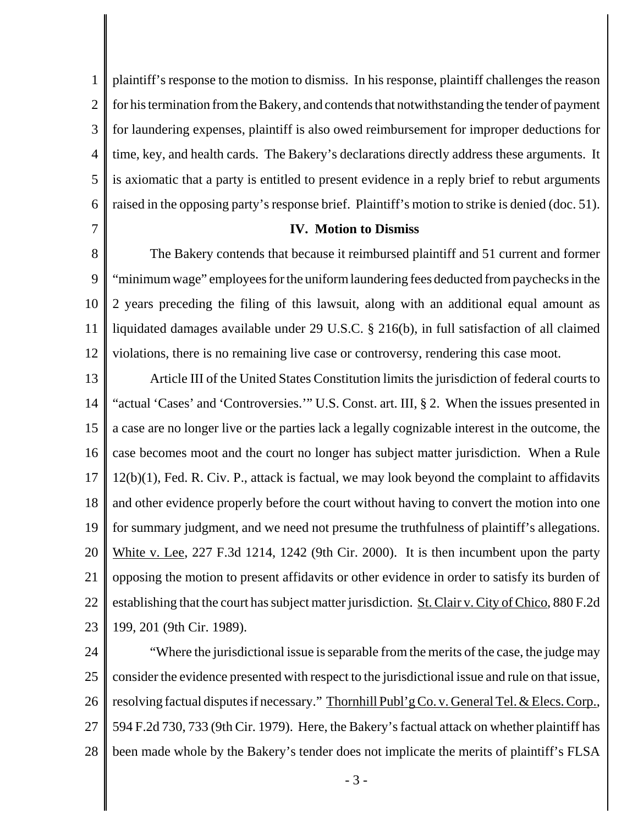1 2 3 4 5 6 plaintiff's response to the motion to dismiss. In his response, plaintiff challenges the reason for his termination from the Bakery, and contends that notwithstanding the tender of payment for laundering expenses, plaintiff is also owed reimbursement for improper deductions for time, key, and health cards. The Bakery's declarations directly address these arguments. It is axiomatic that a party is entitled to present evidence in a reply brief to rebut arguments raised in the opposing party's response brief. Plaintiff's motion to strike is denied (doc. 51).

7

## **IV. Motion to Dismiss**

8 9 10 11 12 The Bakery contends that because it reimbursed plaintiff and 51 current and former "minimum wage" employees for the uniform laundering fees deducted from paychecks in the 2 years preceding the filing of this lawsuit, along with an additional equal amount as liquidated damages available under 29 U.S.C. § 216(b), in full satisfaction of all claimed violations, there is no remaining live case or controversy, rendering this case moot.

13 14 15 16 17 18 19 20 21 22 23 Article III of the United States Constitution limits the jurisdiction of federal courts to "actual 'Cases' and 'Controversies.'" U.S. Const. art. III, § 2. When the issues presented in a case are no longer live or the parties lack a legally cognizable interest in the outcome, the case becomes moot and the court no longer has subject matter jurisdiction. When a Rule 12(b)(1), Fed. R. Civ. P., attack is factual, we may look beyond the complaint to affidavits and other evidence properly before the court without having to convert the motion into one for summary judgment, and we need not presume the truthfulness of plaintiff's allegations. White v. Lee, 227 F.3d 1214, 1242 (9th Cir. 2000). It is then incumbent upon the party opposing the motion to present affidavits or other evidence in order to satisfy its burden of establishing that the court has subject matter jurisdiction. St. Clair v. City of Chico, 880 F.2d 199, 201 (9th Cir. 1989).

24 25 26 27 28 "Where the jurisdictional issue is separable from the merits of the case, the judge may consider the evidence presented with respect to the jurisdictional issue and rule on that issue, resolving factual disputes if necessary." Thornhill Publ'g Co. v. General Tel. & Elecs. Corp., 594 F.2d 730, 733 (9th Cir. 1979). Here, the Bakery's factual attack on whether plaintiff has been made whole by the Bakery's tender does not implicate the merits of plaintiff's FLSA

- 3 -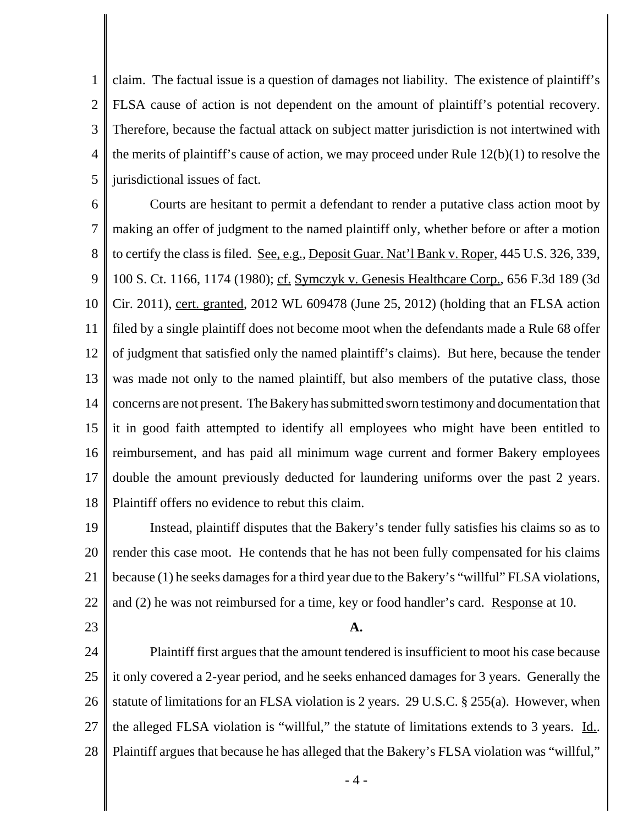1 2 3 4 5 claim. The factual issue is a question of damages not liability. The existence of plaintiff's FLSA cause of action is not dependent on the amount of plaintiff's potential recovery. Therefore, because the factual attack on subject matter jurisdiction is not intertwined with the merits of plaintiff's cause of action, we may proceed under Rule 12(b)(1) to resolve the jurisdictional issues of fact.

6 7 8 9 10 11 12 13 14 15 16 17 18 Courts are hesitant to permit a defendant to render a putative class action moot by making an offer of judgment to the named plaintiff only, whether before or after a motion to certify the class is filed. See, e.g., Deposit Guar. Nat'l Bank v. Roper, 445 U.S. 326, 339, 100 S. Ct. 1166, 1174 (1980); cf. Symczyk v. Genesis Healthcare Corp., 656 F.3d 189 (3d Cir. 2011), cert. granted, 2012 WL 609478 (June 25, 2012) (holding that an FLSA action filed by a single plaintiff does not become moot when the defendants made a Rule 68 offer of judgment that satisfied only the named plaintiff's claims). But here, because the tender was made not only to the named plaintiff, but also members of the putative class, those concerns are not present. The Bakery has submitted sworn testimony and documentation that it in good faith attempted to identify all employees who might have been entitled to reimbursement, and has paid all minimum wage current and former Bakery employees double the amount previously deducted for laundering uniforms over the past 2 years. Plaintiff offers no evidence to rebut this claim.

19 20 21 22 Instead, plaintiff disputes that the Bakery's tender fully satisfies his claims so as to render this case moot. He contends that he has not been fully compensated for his claims because (1) he seeks damages for a third year due to the Bakery's "willful" FLSA violations, and (2) he was not reimbursed for a time, key or food handler's card. Response at 10.

23

# **A.**

24 25 26 27 28 Plaintiff first argues that the amount tendered is insufficient to moot his case because it only covered a 2-year period, and he seeks enhanced damages for 3 years. Generally the statute of limitations for an FLSA violation is 2 years. 29 U.S.C. § 255(a). However, when the alleged FLSA violation is "willful," the statute of limitations extends to 3 years. Id.. Plaintiff argues that because he has alleged that the Bakery's FLSA violation was "willful,"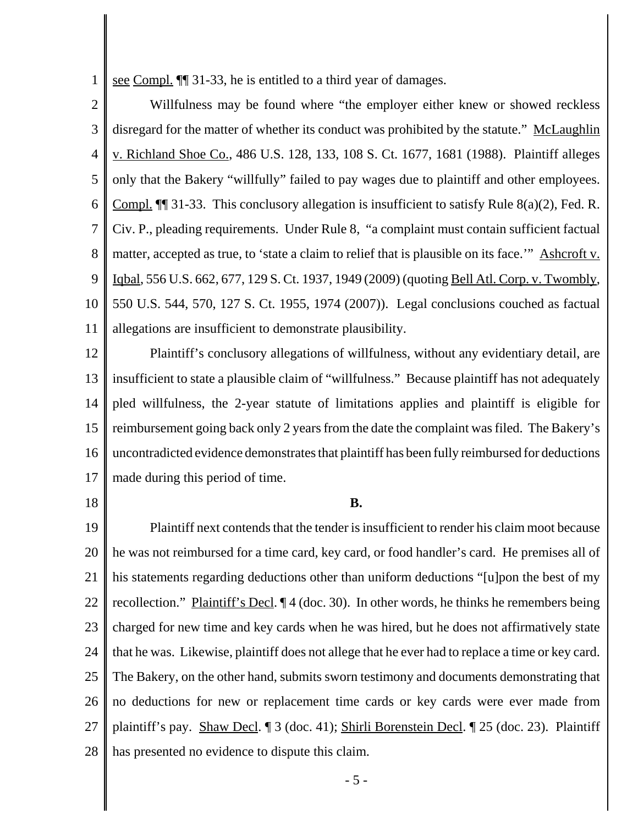1 see Compl. ¶¶ 31-33, he is entitled to a third year of damages.

2 3 4 5 6 7 8 9 10 11 Willfulness may be found where "the employer either knew or showed reckless disregard for the matter of whether its conduct was prohibited by the statute." McLaughlin v. Richland Shoe Co., 486 U.S. 128, 133, 108 S. Ct. 1677, 1681 (1988). Plaintiff alleges only that the Bakery "willfully" failed to pay wages due to plaintiff and other employees. Compl. ¶¶ 31-33. This conclusory allegation is insufficient to satisfy Rule 8(a)(2), Fed. R. Civ. P., pleading requirements. Under Rule 8, "a complaint must contain sufficient factual matter, accepted as true, to 'state a claim to relief that is plausible on its face.'" Ashcroft v. Iqbal, 556 U.S. 662, 677, 129 S. Ct. 1937, 1949 (2009) (quoting Bell Atl. Corp. v. Twombly, 550 U.S. 544, 570, 127 S. Ct. 1955, 1974 (2007)). Legal conclusions couched as factual allegations are insufficient to demonstrate plausibility.

12 13 14 15 16 17 Plaintiff's conclusory allegations of willfulness, without any evidentiary detail, are insufficient to state a plausible claim of "willfulness." Because plaintiff has not adequately pled willfulness, the 2-year statute of limitations applies and plaintiff is eligible for reimbursement going back only 2 years from the date the complaint was filed. The Bakery's uncontradicted evidence demonstrates that plaintiff has been fully reimbursed for deductions made during this period of time.

18

## **B.**

19 20 21 22 23 24 25 26 27 28 Plaintiff next contends that the tender is insufficient to render his claim moot because he was not reimbursed for a time card, key card, or food handler's card. He premises all of his statements regarding deductions other than uniform deductions "[u]pon the best of my recollection." Plaintiff's Decl. ¶ 4 (doc. 30). In other words, he thinks he remembers being charged for new time and key cards when he was hired, but he does not affirmatively state that he was. Likewise, plaintiff does not allege that he ever had to replace a time or key card. The Bakery, on the other hand, submits sworn testimony and documents demonstrating that no deductions for new or replacement time cards or key cards were ever made from plaintiff's pay. Shaw Decl. ¶ 3 (doc. 41); Shirli Borenstein Decl. ¶ 25 (doc. 23). Plaintiff has presented no evidence to dispute this claim.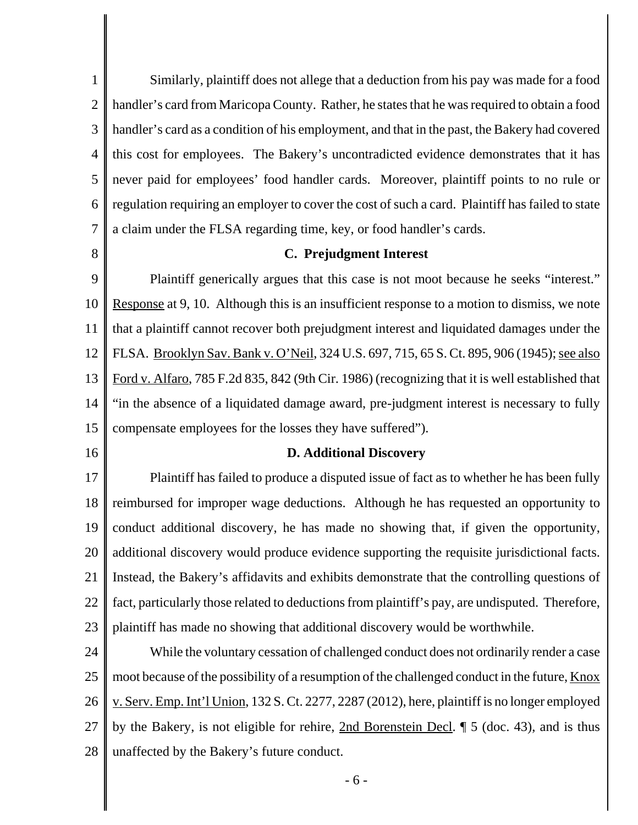1 2 3 4 5 6 7 Similarly, plaintiff does not allege that a deduction from his pay was made for a food handler's card from Maricopa County. Rather, he states that he was required to obtain a food handler's card as a condition of his employment, and that in the past, the Bakery had covered this cost for employees. The Bakery's uncontradicted evidence demonstrates that it has never paid for employees' food handler cards. Moreover, plaintiff points to no rule or regulation requiring an employer to cover the cost of such a card. Plaintiff has failed to state a claim under the FLSA regarding time, key, or food handler's cards.

8

# **C. Prejudgment Interest**

9 10 11 12 13 14 15 Plaintiff generically argues that this case is not moot because he seeks "interest." Response at 9, 10. Although this is an insufficient response to a motion to dismiss, we note that a plaintiff cannot recover both prejudgment interest and liquidated damages under the FLSA. Brooklyn Sav. Bank v. O'Neil, 324 U.S. 697, 715, 65 S. Ct. 895, 906 (1945); see also Ford v. Alfaro, 785 F.2d 835, 842 (9th Cir. 1986) (recognizing that it is well established that "in the absence of a liquidated damage award, pre-judgment interest is necessary to fully compensate employees for the losses they have suffered").

16

#### **D. Additional Discovery**

17 18 19 20 21 22 23 Plaintiff has failed to produce a disputed issue of fact as to whether he has been fully reimbursed for improper wage deductions. Although he has requested an opportunity to conduct additional discovery, he has made no showing that, if given the opportunity, additional discovery would produce evidence supporting the requisite jurisdictional facts. Instead, the Bakery's affidavits and exhibits demonstrate that the controlling questions of fact, particularly those related to deductions from plaintiff's pay, are undisputed. Therefore, plaintiff has made no showing that additional discovery would be worthwhile.

24 25 26 27 28 While the voluntary cessation of challenged conduct does not ordinarily render a case moot because of the possibility of a resumption of the challenged conduct in the future, Knox v. Serv. Emp. Int'l Union, 132 S. Ct. 2277, 2287 (2012), here, plaintiff is no longer employed by the Bakery, is not eligible for rehire, 2nd Borenstein Decl. ¶ 5 (doc. 43), and is thus unaffected by the Bakery's future conduct.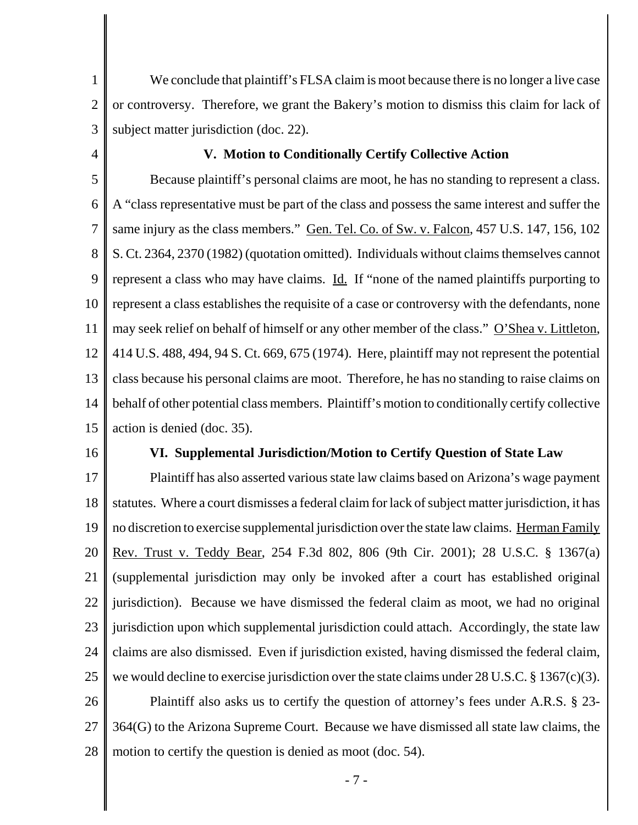1 2 3 We conclude that plaintiff's FLSA claim is moot because there is no longer a live case or controversy. Therefore, we grant the Bakery's motion to dismiss this claim for lack of subject matter jurisdiction (doc. 22).

4

# **V. Motion to Conditionally Certify Collective Action**

5 6 7 8 9 10 11 12 13 14 15 Because plaintiff's personal claims are moot, he has no standing to represent a class. A "class representative must be part of the class and possess the same interest and suffer the same injury as the class members." Gen. Tel. Co. of Sw. v. Falcon, 457 U.S. 147, 156, 102 S. Ct. 2364, 2370 (1982) (quotation omitted). Individuals without claims themselves cannot represent a class who may have claims. Id. If "none of the named plaintiffs purporting to represent a class establishes the requisite of a case or controversy with the defendants, none may seek relief on behalf of himself or any other member of the class." O'Shea v. Littleton, 414 U.S. 488, 494, 94 S. Ct. 669, 675 (1974). Here, plaintiff may not represent the potential class because his personal claims are moot. Therefore, he has no standing to raise claims on behalf of other potential class members. Plaintiff's motion to conditionally certify collective action is denied (doc. 35).

16

#### **VI. Supplemental Jurisdiction/Motion to Certify Question of State Law**

17 18 19 20 21 22 23 24 25 26 27 28 Plaintiff has also asserted various state law claims based on Arizona's wage payment statutes. Where a court dismisses a federal claim for lack of subject matter jurisdiction, it has no discretion to exercise supplemental jurisdiction over the state law claims. Herman Family Rev. Trust v. Teddy Bear, 254 F.3d 802, 806 (9th Cir. 2001); 28 U.S.C. § 1367(a) (supplemental jurisdiction may only be invoked after a court has established original jurisdiction). Because we have dismissed the federal claim as moot, we had no original jurisdiction upon which supplemental jurisdiction could attach. Accordingly, the state law claims are also dismissed. Even if jurisdiction existed, having dismissed the federal claim, we would decline to exercise jurisdiction over the state claims under 28 U.S.C. § 1367(c)(3). Plaintiff also asks us to certify the question of attorney's fees under A.R.S. § 23- 364(G) to the Arizona Supreme Court. Because we have dismissed all state law claims, the motion to certify the question is denied as moot (doc. 54).

- 7 -